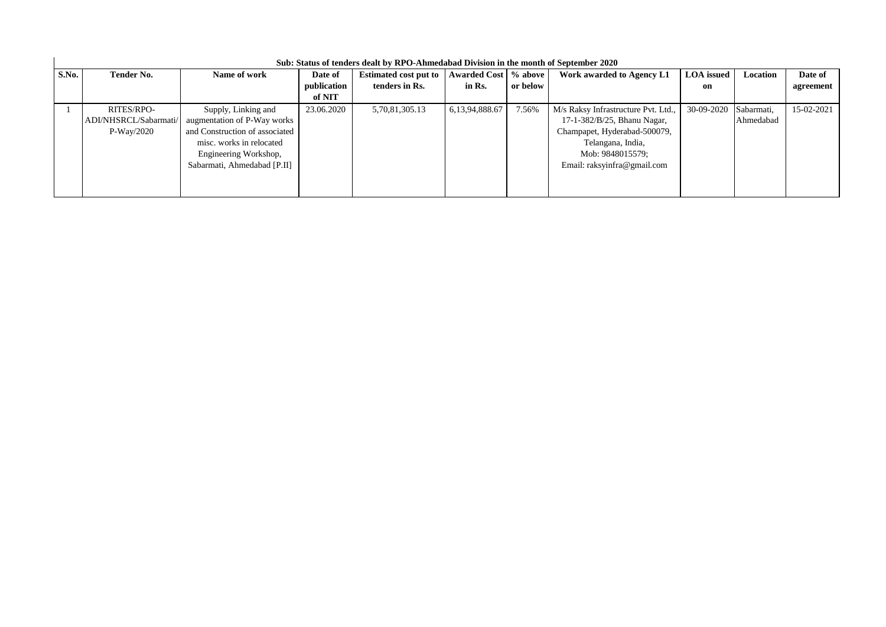| S.No. | <b>Tender No.</b>                                   | Name of work                                                                                                                                                             | Date of<br>publication<br>of NIT | <b>Estimated cost put to</b><br>tenders in Rs. | Awarded Cost % above<br>in Rs. | or below | Work awarded to Agency L1                                                                                                                                                  | <b>LOA</b> issued<br>on | Location                | Date of<br>agreement |
|-------|-----------------------------------------------------|--------------------------------------------------------------------------------------------------------------------------------------------------------------------------|----------------------------------|------------------------------------------------|--------------------------------|----------|----------------------------------------------------------------------------------------------------------------------------------------------------------------------------|-------------------------|-------------------------|----------------------|
|       | RITES/RPO-<br>ADI/NHSRCL/Sabarmati/<br>$P-Way/2020$ | Supply, Linking and<br>augmentation of P-Way works<br>and Construction of associated<br>misc. works in relocated<br>Engineering Workshop,<br>Sabarmati, Ahmedabad [P.II] | 23.06.2020                       | 5,70,81,305.13                                 | 6, 13, 94, 888. 67             | 7.56%    | M/s Raksy Infrastructure Pvt. Ltd.,<br>17-1-382/B/25, Bhanu Nagar,<br>Champapet, Hyderabad-500079,<br>Telangana, India,<br>Mob: 9848015579;<br>Email: raksyinfra@gmail.com | 30-09-2020              | Sabarmati,<br>Ahmedabad | 15-02-2021           |

## **Sub: Status of tenders dealt by RPO-Ahmedabad Division in the month of September 2020**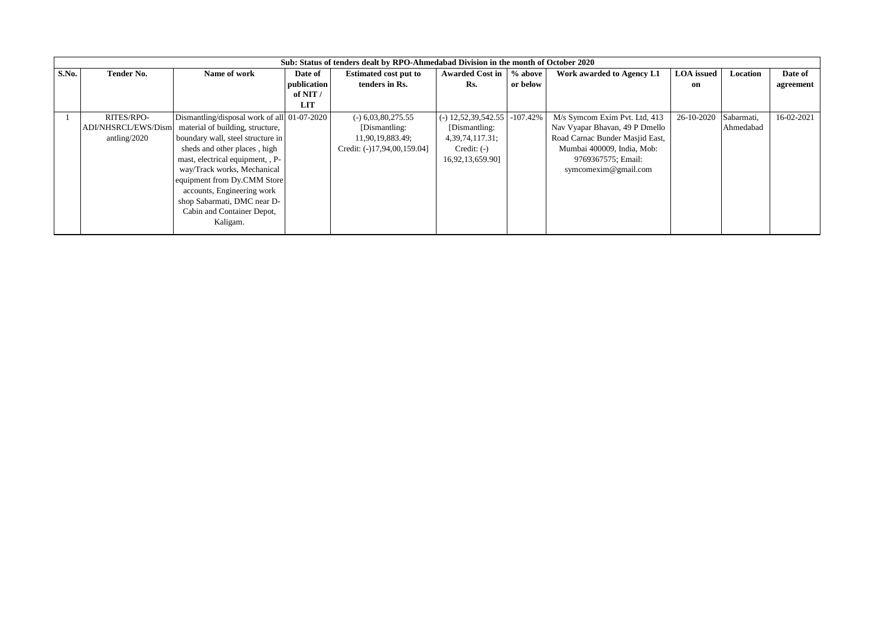|       | Sub: Status of tenders dealt by RPO-Ahmedabad Division in the month of October 2020 |                                             |             |                              |                        |            |                                 |                   |            |            |  |
|-------|-------------------------------------------------------------------------------------|---------------------------------------------|-------------|------------------------------|------------------------|------------|---------------------------------|-------------------|------------|------------|--|
| S.No. | <b>Tender No.</b>                                                                   | Name of work                                | Date of     | <b>Estimated cost put to</b> | <b>Awarded Cost in</b> | % above    | Work awarded to Agency L1       | <b>LOA</b> issued | Location   | Date of    |  |
|       |                                                                                     |                                             | publication | tenders in Rs.               | Rs.                    | or below   |                                 | on                |            | agreement  |  |
|       |                                                                                     |                                             | of NIT $/$  |                              |                        |            |                                 |                   |            |            |  |
|       |                                                                                     |                                             | LIT         |                              |                        |            |                                 |                   |            |            |  |
|       | RITES/RPO-                                                                          | Dismantling/disposal work of all 01-07-2020 |             | $(-)$ 6,03,80,275.55         | $(-)$ 12,52,39,542.55  | $-107.42%$ | M/s Symcom Exim Pvt. Ltd, 413   | 26-10-2020        | Sabarmati, | 16-02-2021 |  |
|       | ADI/NHSRCL/EWS/Dism                                                                 | material of building, structure,            |             | [Dismantling:                | [Dismantling:          |            | Nav Vyapar Bhavan, 49 P Dmello  |                   | Ahmedabad  |            |  |
|       | antling/2020                                                                        | boundary wall, steel structure in           |             | 11,90,19,883.49;             | 4, 39, 74, 117. 31;    |            | Road Carnac Bunder Masjid East, |                   |            |            |  |
|       |                                                                                     | sheds and other places, high                |             | Credit: (-)17,94,00,159.04]  | $Credit: (-)$          |            | Mumbai 400009, India, Mob:      |                   |            |            |  |
|       |                                                                                     | mast, electrical equipment, , P-            |             |                              | 16,92,13,659.90]       |            | 9769367575; Email:              |                   |            |            |  |
|       |                                                                                     | way/Track works, Mechanical                 |             |                              |                        |            | symcomexim@gmail.com            |                   |            |            |  |
|       |                                                                                     | equipment from Dy.CMM Store                 |             |                              |                        |            |                                 |                   |            |            |  |
|       |                                                                                     | accounts, Engineering work                  |             |                              |                        |            |                                 |                   |            |            |  |
|       |                                                                                     | shop Sabarmati, DMC near D-                 |             |                              |                        |            |                                 |                   |            |            |  |
|       |                                                                                     | Cabin and Container Depot,                  |             |                              |                        |            |                                 |                   |            |            |  |
|       |                                                                                     | Kaligam.                                    |             |                              |                        |            |                                 |                   |            |            |  |
|       |                                                                                     |                                             |             |                              |                        |            |                                 |                   |            |            |  |